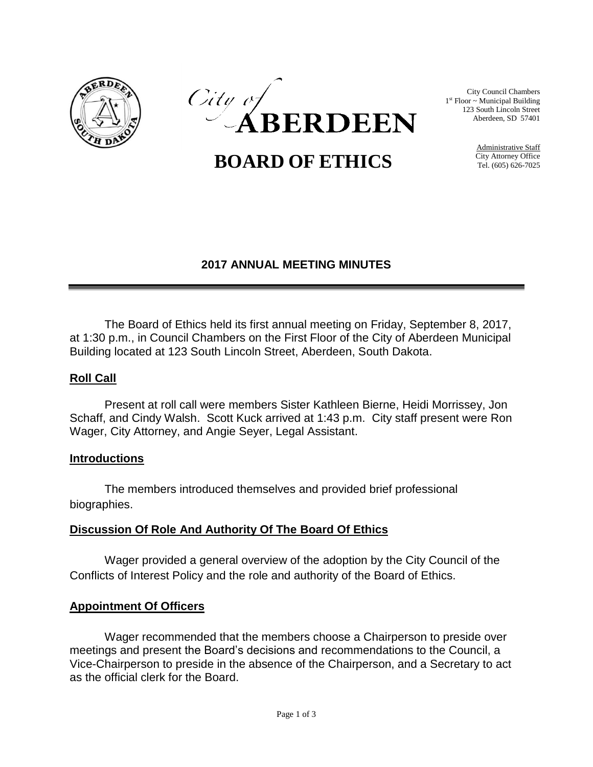



City Council Chambers 1 st Floor ~ Municipal Building 123 South Lincoln Street Aberdeen, SD 57401

 **BOARD OF ETHICS**

Administrative Staff City Attorney Office Tel. (605) 626-7025

### **2017 ANNUAL MEETING MINUTES**

The Board of Ethics held its first annual meeting on Friday, September 8, 2017, at 1:30 p.m., in Council Chambers on the First Floor of the City of Aberdeen Municipal Building located at 123 South Lincoln Street, Aberdeen, South Dakota.

### **Roll Call**

Present at roll call were members Sister Kathleen Bierne, Heidi Morrissey, Jon Schaff, and Cindy Walsh. Scott Kuck arrived at 1:43 p.m. City staff present were Ron Wager, City Attorney, and Angie Seyer, Legal Assistant.

#### **Introductions**

The members introduced themselves and provided brief professional biographies.

### **Discussion Of Role And Authority Of The Board Of Ethics**

Wager provided a general overview of the adoption by the City Council of the Conflicts of Interest Policy and the role and authority of the Board of Ethics.

### **Appointment Of Officers**

Wager recommended that the members choose a Chairperson to preside over meetings and present the Board's decisions and recommendations to the Council, a Vice-Chairperson to preside in the absence of the Chairperson, and a Secretary to act as the official clerk for the Board.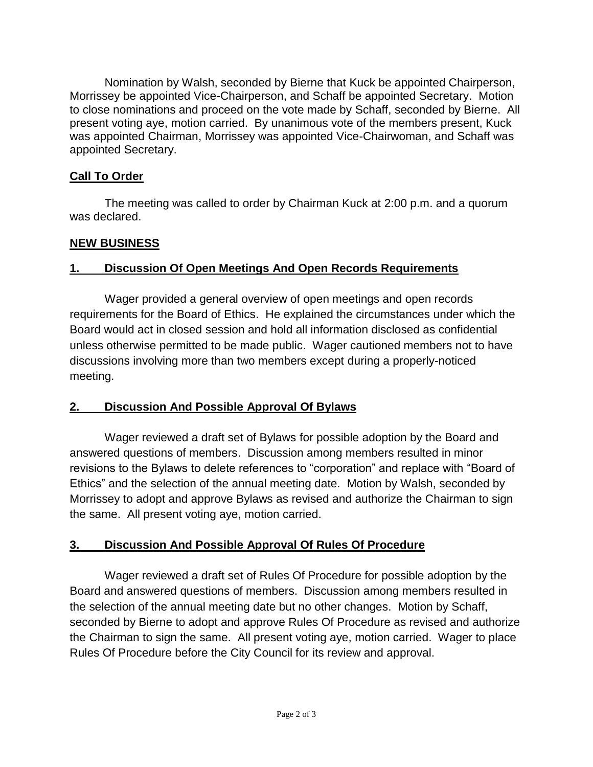Nomination by Walsh, seconded by Bierne that Kuck be appointed Chairperson, Morrissey be appointed Vice-Chairperson, and Schaff be appointed Secretary. Motion to close nominations and proceed on the vote made by Schaff, seconded by Bierne. All present voting aye, motion carried. By unanimous vote of the members present, Kuck was appointed Chairman, Morrissey was appointed Vice-Chairwoman, and Schaff was appointed Secretary.

### **Call To Order**

The meeting was called to order by Chairman Kuck at 2:00 p.m. and a quorum was declared.

# **NEW BUSINESS**

# **1. Discussion Of Open Meetings And Open Records Requirements**

Wager provided a general overview of open meetings and open records requirements for the Board of Ethics. He explained the circumstances under which the Board would act in closed session and hold all information disclosed as confidential unless otherwise permitted to be made public. Wager cautioned members not to have discussions involving more than two members except during a properly-noticed meeting.

# **2. Discussion And Possible Approval Of Bylaws**

Wager reviewed a draft set of Bylaws for possible adoption by the Board and answered questions of members. Discussion among members resulted in minor revisions to the Bylaws to delete references to "corporation" and replace with "Board of Ethics" and the selection of the annual meeting date. Motion by Walsh, seconded by Morrissey to adopt and approve Bylaws as revised and authorize the Chairman to sign the same. All present voting aye, motion carried.

# **3. Discussion And Possible Approval Of Rules Of Procedure**

Wager reviewed a draft set of Rules Of Procedure for possible adoption by the Board and answered questions of members. Discussion among members resulted in the selection of the annual meeting date but no other changes. Motion by Schaff, seconded by Bierne to adopt and approve Rules Of Procedure as revised and authorize the Chairman to sign the same. All present voting aye, motion carried. Wager to place Rules Of Procedure before the City Council for its review and approval.